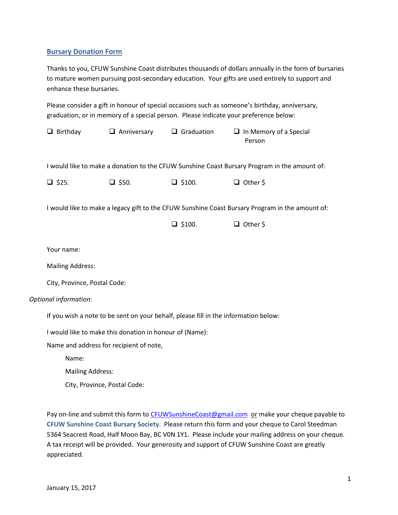## **Bursary Donation Form**

Thanks to you, CFUW Sunshine Coast distributes thousands of dollars annually in the form of bursaries to mature women pursuing post-secondary education. Your gifts are used entirely to support and enhance these bursaries.

Please consider a gift in honour of special occasions such as someone's birthday, anniversary, graduation, or in memory of a special person. Please indicate your preference below:

|                              | Birthday<br>u                                                                                   | $\Box$ Anniversary | $\Box$ Graduation | $\Box$ In Memory of a Special<br>Person |
|------------------------------|-------------------------------------------------------------------------------------------------|--------------------|-------------------|-----------------------------------------|
|                              | I would like to make a donation to the CFUW Sunshine Coast Bursary Program in the amount of:    |                    |                   |                                         |
|                              | $\Box$ \$25.                                                                                    | $\Box$ \$50.       | $\Box$ \$100.     | $\Box$ Other \$                         |
|                              | I would like to make a legacy gift to the CFUW Sunshine Coast Bursary Program in the amount of: |                    |                   |                                         |
|                              |                                                                                                 |                    | $\Box$ \$100.     | $\Box$ Other \$                         |
|                              | Your name:                                                                                      |                    |                   |                                         |
|                              | <b>Mailing Address:</b>                                                                         |                    |                   |                                         |
|                              | City, Province, Postal Code:                                                                    |                    |                   |                                         |
| <b>Optional information:</b> |                                                                                                 |                    |                   |                                         |
|                              | If you wish a note to be sent on your behalf, please fill in the information below:             |                    |                   |                                         |
|                              | I would like to make this donation in honour of (Name):                                         |                    |                   |                                         |
|                              | Name and address for recipient of note,                                                         |                    |                   |                                         |
|                              | Name:                                                                                           |                    |                   |                                         |
|                              | <b>Mailing Address:</b>                                                                         |                    |                   |                                         |

City, Province, Postal Code:

Pay on-line and submit this form to [CFUWSunshineCoast@gmail.com](mailto:CFUWSunshineCoast@gmail.com) or make your cheque payable to **CFUW Sunshine Coast Bursary Society**. Please return this form and your cheque to Carol Steedman 5364 Seacrest Road, Half Moon Bay, BC V0N 1Y1. Please include your mailing address on your cheque. A tax receipt will be provided. Your generosity and support of CFUW Sunshine Coast are greatly appreciated.